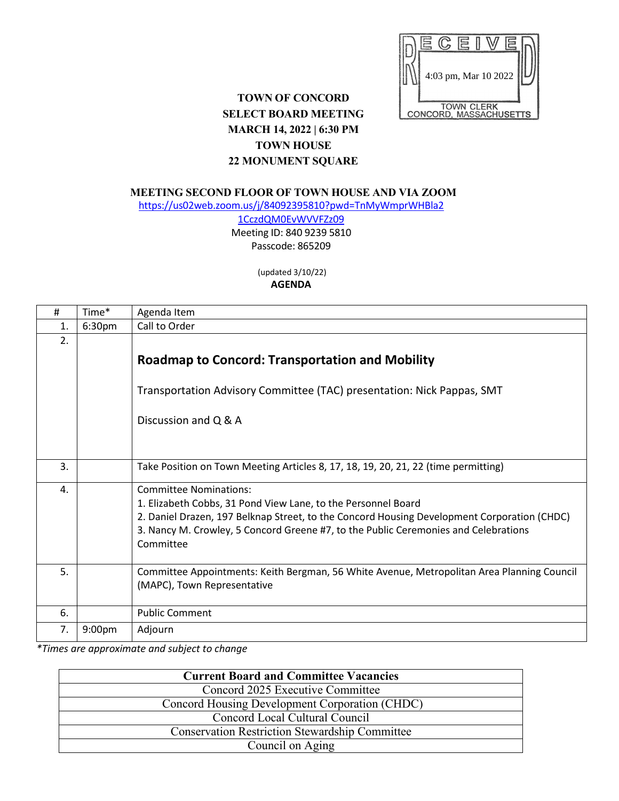

## **TOWN OF CONCORD SELECT BOARD MEETING MARCH 14, 2022 | 6:30 PM TOWN HOUSE 22 MONUMENT SQUARE**

**MEETING SECOND FLOOR OF TOWN HOUSE AND VIA ZOOM**

[https://us02web.zoom.us/j/84092395810?pwd=TnMyWmprWHBla2](https://us02web.zoom.us/j/84092395810?pwd=TnMyWmprWHBla21CczdQM0EvWVVFZz09)

[1CczdQM0EvWVVFZz09](https://us02web.zoom.us/j/84092395810?pwd=TnMyWmprWHBla21CczdQM0EvWVVFZz09) Meeting ID: 840 9239 5810 Passcode: 865209

> (updated 3/10/22) **AGENDA**

| #  | Time*              | Agenda Item                                                                                                                                                                                                                                                                                       |
|----|--------------------|---------------------------------------------------------------------------------------------------------------------------------------------------------------------------------------------------------------------------------------------------------------------------------------------------|
| 1. | 6:30pm             | Call to Order                                                                                                                                                                                                                                                                                     |
| 2. |                    |                                                                                                                                                                                                                                                                                                   |
|    |                    | <b>Roadmap to Concord: Transportation and Mobility</b>                                                                                                                                                                                                                                            |
|    |                    | Transportation Advisory Committee (TAC) presentation: Nick Pappas, SMT                                                                                                                                                                                                                            |
|    |                    | Discussion and Q & A                                                                                                                                                                                                                                                                              |
| 3. |                    | Take Position on Town Meeting Articles 8, 17, 18, 19, 20, 21, 22 (time permitting)                                                                                                                                                                                                                |
| 4. |                    | <b>Committee Nominations:</b><br>1. Elizabeth Cobbs, 31 Pond View Lane, to the Personnel Board<br>2. Daniel Drazen, 197 Belknap Street, to the Concord Housing Development Corporation (CHDC)<br>3. Nancy M. Crowley, 5 Concord Greene #7, to the Public Ceremonies and Celebrations<br>Committee |
| 5. |                    | Committee Appointments: Keith Bergman, 56 White Avenue, Metropolitan Area Planning Council<br>(MAPC), Town Representative                                                                                                                                                                         |
| 6. |                    | <b>Public Comment</b>                                                                                                                                                                                                                                                                             |
| 7. | 9:00 <sub>pm</sub> | Adjourn                                                                                                                                                                                                                                                                                           |

*\*Times are approximate and subject to change*

| <b>Current Board and Committee Vacancies</b>          |
|-------------------------------------------------------|
| Concord 2025 Executive Committee                      |
| Concord Housing Development Corporation (CHDC)        |
| Concord Local Cultural Council                        |
| <b>Conservation Restriction Stewardship Committee</b> |
| Council on Aging                                      |